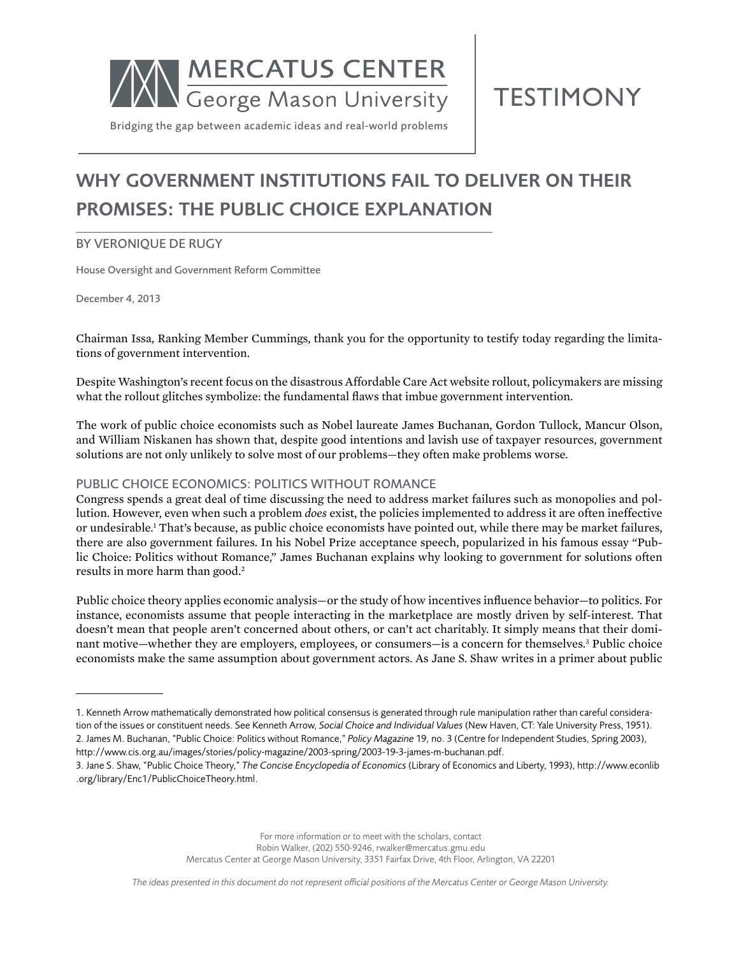

**TESTIMONY** 

Bridging the gap between academic ideas and real-world problems

# Why Government Institutions Fail to Deliver on Their Promises: The Public Choice Explanation

# **BY VERONIQUE DE RUGY**

House Oversight and Government Reform Committee

December 4, 2013

Chairman Issa, Ranking Member Cummings, thank you for the opportunity to testify today regarding the limitations of government intervention.

Despite Washington's recent focus on the disastrous Affordable Care Act website rollout, policymakers are missing what the rollout glitches symbolize: the fundamental flaws that imbue government intervention.

The work of public choice economists such as Nobel laureate James Buchanan, Gordon Tullock, Mancur Olson, and William Niskanen has shown that, despite good intentions and lavish use of taxpayer resources, government solutions are not only unlikely to solve most of our problems—they often make problems worse.

# Public Choice Economics: Politics without Romance

Congress spends a great deal of time discussing the need to address market failures such as monopolies and pollution. However, even when such a problem *does* exist, the policies implemented to address it are often ineffective or undesirable.<sup>1</sup> That's because, as public choice economists have pointed out, while there may be market failures, there are also government failures. In his Nobel Prize acceptance speech, popularized in his famous essay "Public Choice: Politics without Romance," James Buchanan explains why looking to government for solutions often results in more harm than good.<sup>2</sup>

Public choice theory applies economic analysis—or the study of how incentives influence behavior—to politics. For instance, economists assume that people interacting in the marketplace are mostly driven by self-interest. That doesn't mean that people aren't concerned about others, or can't act charitably. It simply means that their dominant motive—whether they are employers, employees, or consumers—is a concern for themselves.3 Public choice economists make the same assumption about government actors. As Jane S. Shaw writes in a primer about public

For more information or to meet with the scholars, contact Robin Walker, (202) 550-9246, [rwalker@mercatus.gmu.edu](mailto:rwalker@mercatus.gmu.edu) Mercatus Center at George Mason University, 3351 Fairfax Drive, 4th Floor, Arlington, VA 22201

*The ideas presented in this document do not represent official positions of the Mercatus Center or George Mason University.*

<sup>1.</sup> Kenneth Arrow mathematically demonstrated how political consensus is generated through rule manipulation rather than careful consideration of the issues or constituent needs. See Kenneth Arrow, *Social Choice and Individual Values* (New Haven, CT: Yale University Press, 1951). 2. James M. Buchanan, "Public Choice: Politics without Romance," *Policy Magazine* 19, no. 3 (Centre for Independent Studies, Spring 2003),

[http://www.cis.org.au/images/stories/policy-magazine/2003-spring/2003-19-3-james-m-buchanan.pdf.](http://www.cis.org.au/images/stories/policy-magazine/2003-spring/2003-19-3-james-m-buchanan.pdf)

<sup>3.</sup> Jane S. Shaw, "Public Choice Theory," *The Concise Encyclopedia of Economics* (Library of Economics and Liberty, 1993), [http://www.econlib](http://www.econlib.org/library/Enc1/PublicChoiceTheory.html) [.org/library/Enc1/PublicChoiceTheory.html](http://www.econlib.org/library/Enc1/PublicChoiceTheory.html).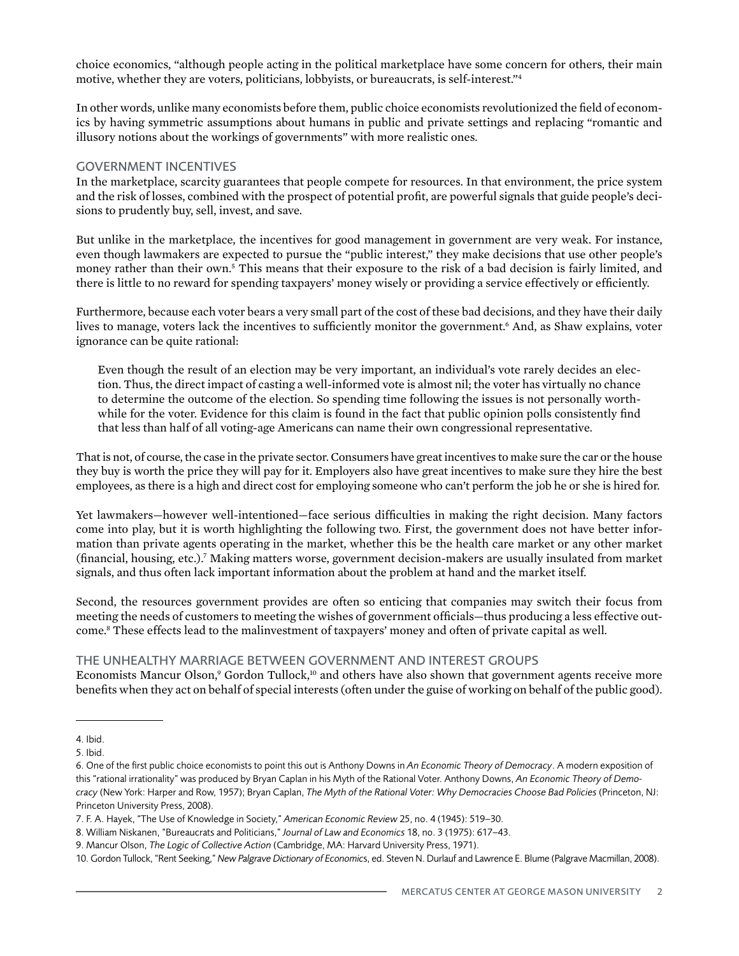choice economics, "although people acting in the political marketplace have some concern for others, their main motive, whether they are voters, politicians, lobbyists, or bureaucrats, is self-interest."<sup>4</sup>

In other words, unlike many economists before them, public choice economists revolutionized the field of economics by having symmetric assumptions about humans in public and private settings and replacing "romantic and illusory notions about the workings of governments" with more realistic ones.

#### Government Incentives

In the marketplace, scarcity guarantees that people compete for resources. In that environment, the price system and the risk of losses, combined with the prospect of potential profit, are powerful signals that guide people's decisions to prudently buy, sell, invest, and save.

But unlike in the marketplace, the incentives for good management in government are very weak. For instance, even though lawmakers are expected to pursue the "public interest," they make decisions that use other people's money rather than their own.<sup>5</sup> This means that their exposure to the risk of a bad decision is fairly limited, and there is little to no reward for spending taxpayers' money wisely or providing a service effectively or efficiently.

Furthermore, because each voter bears a very small part of the cost of these bad decisions, and they have their daily lives to manage, voters lack the incentives to sufficiently monitor the government.<sup>6</sup> And, as Shaw explains, voter ignorance can be quite rational:

Even though the result of an election may be very important, an individual's vote rarely decides an election. Thus, the direct impact of casting a well-informed vote is almost nil; the voter has virtually no chance to determine the outcome of the election. So spending time following the issues is not personally worthwhile for the voter. Evidence for this claim is found in the fact that public opinion polls consistently find that less than half of all voting-age Americans can name their own congressional representative.

That is not, of course, the case in the private sector. Consumers have great incentives to make sure the car or the house they buy is worth the price they will pay for it. Employers also have great incentives to make sure they hire the best employees, as there is a high and direct cost for employing someone who can't perform the job he or she is hired for.

Yet lawmakers—however well-intentioned—face serious difficulties in making the right decision. Many factors come into play, but it is worth highlighting the following two. First, the government does not have better information than private agents operating in the market, whether this be the health care market or any other market (financial, housing, etc.).7 Making matters worse, government decision-makers are usually insulated from market signals, and thus often lack important information about the problem at hand and the market itself.

Second, the resources government provides are often so enticing that companies may switch their focus from meeting the needs of customers to meeting the wishes of government officials—thus producing a less effective outcome.8 These effects lead to the malinvestment of taxpayers' money and often of private capital as well.

#### The Unhealthy Marriage between Government and Interest Groups

Economists Mancur Olson,<sup>9</sup> Gordon Tullock,<sup>10</sup> and others have also shown that government agents receive more benefits when they act on behalf of special interests (often under the guise of working on behalf of the public good).

<sup>4.</sup> Ibid.

<sup>5.</sup> Ibid.

<sup>6.</sup> One of the first public choice economists to point this out is Anthony Downs in *An Economic Theory of Democracy*. A modern exposition of this "rational irrationality" was produced by Bryan Caplan in his Myth of the Rational Voter. Anthony Downs, *An Economic Theory of Democracy* (New York: Harper and Row, 1957); Bryan Caplan, *The Myth of the Rational Voter: Why Democracies Choose Bad Policies* (Princeton, NJ: Princeton University Press, 2008).

<sup>7.</sup> F. A. Hayek, "The Use of Knowledge in Society," *American Economic Review* 25, no. 4 (1945): 519–30.

<sup>8.</sup> William Niskanen, "Bureaucrats and Politicians," *Journal of Law and Economics* 18, no. 3 (1975): 617–43.

<sup>9.</sup> Mancur Olson, *The Logic of Collective Action* (Cambridge, MA: Harvard University Press, 1971).

<sup>10.</sup> Gordon Tullock, "Rent Seeking," *New Palgrave Dictionary of Economic*s, ed. Steven N. Durlauf and Lawrence E. Blume (Palgrave Macmillan, 2008).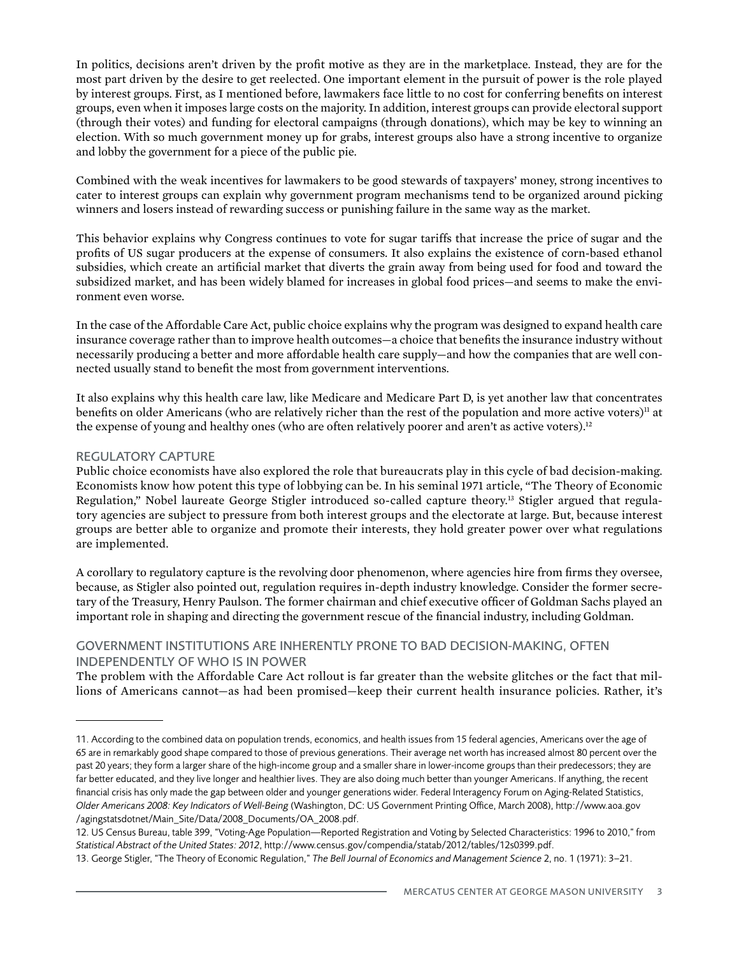In politics, decisions aren't driven by the profit motive as they are in the marketplace. Instead, they are for the most part driven by the desire to get reelected. One important element in the pursuit of power is the role played by interest groups. First, as I mentioned before, lawmakers face little to no cost for conferring benefits on interest groups, even when it imposes large costs on the majority. In addition, interest groups can provide electoral support (through their votes) and funding for electoral campaigns (through donations), which may be key to winning an election. With so much government money up for grabs, interest groups also have a strong incentive to organize and lobby the government for a piece of the public pie.

Combined with the weak incentives for lawmakers to be good stewards of taxpayers' money, strong incentives to cater to interest groups can explain why government program mechanisms tend to be organized around picking winners and losers instead of rewarding success or punishing failure in the same way as the market.

This behavior explains why Congress continues to vote for sugar tariffs that increase the price of sugar and the profits of US sugar producers at the expense of consumers. It also explains the existence of corn-based ethanol subsidies, which create an artificial market that diverts the grain away from being used for food and toward the subsidized market, and has been widely blamed for increases in global food prices—and seems to make the environment even worse.

In the case of the Affordable Care Act, public choice explains why the program was designed to expand health care insurance coverage rather than to improve health outcomes—a choice that benefits the insurance industry without necessarily producing a better and more affordable health care supply—and how the companies that are well connected usually stand to benefit the most from government interventions.

It also explains why this health care law, like Medicare and Medicare Part D, is yet another law that concentrates benefits on older Americans (who are relatively richer than the rest of the population and more active voters)<sup>11</sup> at the expense of young and healthy ones (who are often relatively poorer and aren't as active voters).<sup>12</sup>

# Regulatory Capture

Public choice economists have also explored the role that bureaucrats play in this cycle of bad decision-making. Economists know how potent this type of lobbying can be. In his seminal 1971 article, "The Theory of Economic Regulation," Nobel laureate George Stigler introduced so-called capture theory.13 Stigler argued that regulatory agencies are subject to pressure from both interest groups and the electorate at large. But, because interest groups are better able to organize and promote their interests, they hold greater power over what regulations are implemented.

A corollary to regulatory capture is the revolving door phenomenon, where agencies hire from firms they oversee, because, as Stigler also pointed out, regulation requires in-depth industry knowledge. Consider the former secretary of the Treasury, Henry Paulson. The former chairman and chief executive officer of Goldman Sachs played an important role in shaping and directing the government rescue of the financial industry, including Goldman.

# Government Institutions Are Inherently Prone to Bad Decision-Making, Often Independently of Who Is in Power

The problem with the Affordable Care Act rollout is far greater than the website glitches or the fact that millions of Americans cannot—as had been promised—keep their current health insurance policies. Rather, it's

<sup>11.</sup> According to the combined data on population trends, economics, and health issues from 15 federal agencies, Americans over the age of 65 are in remarkably good shape compared to those of previous generations. Their average net worth has increased almost 80 percent over the past 20 years; they form a larger share of the high-income group and a smaller share in lower-income groups than their predecessors; they are far better educated, and they live longer and healthier lives. They are also doing much better than younger Americans. If anything, the recent financial crisis has only made the gap between older and younger generations wider. Federal Interagency Forum on Aging-Related Statistics, *Older Americans 2008: Key Indicators of Well-Being* (Washington, DC: US Government Printing Office, March 2008), [http://www.aoa.gov](http://www.aoa.gov/agingstatsdotnet/Main_Site/Data/2008_Documents/OA_2008.pdf) [/agingstatsdotnet/Main\\_Site/Data/2008\\_Documents/OA\\_2008.pdf.](http://www.aoa.gov/agingstatsdotnet/Main_Site/Data/2008_Documents/OA_2008.pdf)

<sup>12.</sup> US Census Bureau, table 399, "Voting-Age Population—Reported Registration and Voting by Selected Characteristics: 1996 to 2010," from *Statistical Abstract of the United States: 2012*,<http://www.census.gov/compendia/statab/2012/tables/12s0399.pdf>.

<sup>13.</sup> George Stigler, "The Theory of Economic Regulation," *The Bell Journal of Economics and Management Science* 2, no. 1 (1971): 3–21.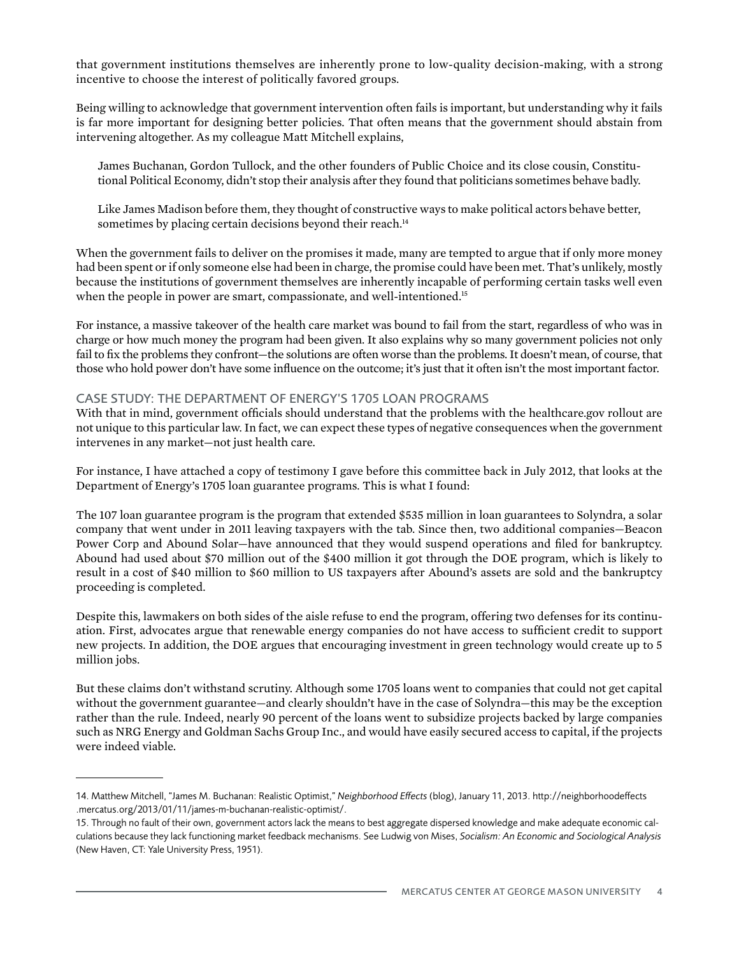that government institutions themselves are inherently prone to low-quality decision-making, with a strong incentive to choose the interest of politically favored groups.

Being willing to acknowledge that government intervention often fails is important, but understanding why it fails is far more important for designing better policies. That often means that the government should abstain from intervening altogether. As my colleague Matt Mitchell explains,

James Buchanan, Gordon Tullock, and the other founders of Public Choice and its close cousin, Constitutional Political Economy, didn't stop their analysis after they found that politicians sometimes behave badly.

Like James Madison before them, they thought of constructive ways to make political actors behave better, sometimes by placing certain decisions beyond their reach.<sup>14</sup>

When the government fails to deliver on the promises it made, many are tempted to argue that if only more money had been spent or if only someone else had been in charge, the promise could have been met. That's unlikely, mostly because the institutions of government themselves are inherently incapable of performing certain tasks well even when the people in power are smart, compassionate, and well-intentioned.<sup>15</sup>

For instance, a massive takeover of the health care market was bound to fail from the start, regardless of who was in charge or how much money the program had been given. It also explains why so many government policies not only fail to fix the problems they confront—the solutions are often worse than the problems. It doesn't mean, of course, that those who hold power don't have some influence on the outcome; it's just that it often isn't the most important factor.

#### Case Study: The Department of Energy's 1705 Loan Programs

With that in mind, government officials should understand that the problems with the healthcare.gov rollout are not unique to this particular law. In fact, we can expect these types of negative consequences when the government intervenes in any market—not just health care.

For instance, I have attached a copy of testimony I gave before this committee back in July 2012, that looks at the Department of Energy's 1705 loan guarantee programs. This is what I found:

The 107 loan guarantee program is the program that extended \$535 million in loan guarantees to Solyndra, a solar company that went under in 2011 leaving taxpayers with the tab. Since then, two additional companies—Beacon Power Corp and Abound Solar—have announced that they would suspend operations and filed for bankruptcy. Abound had used about \$70 million out of the \$400 million it got through the DOE program, which is likely to result in a cost of \$40 million to \$60 million to US taxpayers after Abound's assets are sold and the bankruptcy proceeding is completed.

Despite this, lawmakers on both sides of the aisle refuse to end the program, offering two defenses for its continuation. First, advocates argue that renewable energy companies do not have access to sufficient credit to support new projects. In addition, the DOE argues that encouraging investment in green technology would create up to 5 million jobs.

But these claims don't withstand scrutiny. Although some 1705 loans went to companies that could not get capital without the government guarantee—and clearly shouldn't have in the case of Solyndra—this may be the exception rather than the rule. Indeed, nearly 90 percent of the loans went to subsidize projects backed by large companies such as NRG Energy and Goldman Sachs Group Inc., and would have easily secured access to capital, if the projects were indeed viable.

<sup>14.</sup> Matthew Mitchell, "James M. Buchanan: Realistic Optimist," *Neighborhood Effects* (blog), January 11, 2013. [http://neighborhoodeffects](http://neighborhoodeffects.mercatus.org/2013/01/11/james-m-buchanan-realistic-optimist/) [.mercatus.org/2013/01/11/james-m-buchanan-realistic-optimist/](http://neighborhoodeffects.mercatus.org/2013/01/11/james-m-buchanan-realistic-optimist/).

<sup>15.</sup> Through no fault of their own, government actors lack the means to best aggregate dispersed knowledge and make adequate economic calculations because they lack functioning market feedback mechanisms. See Ludwig von Mises, *Socialism: An Economic and Sociological Analysis*  (New Haven, CT: Yale University Press, 1951).